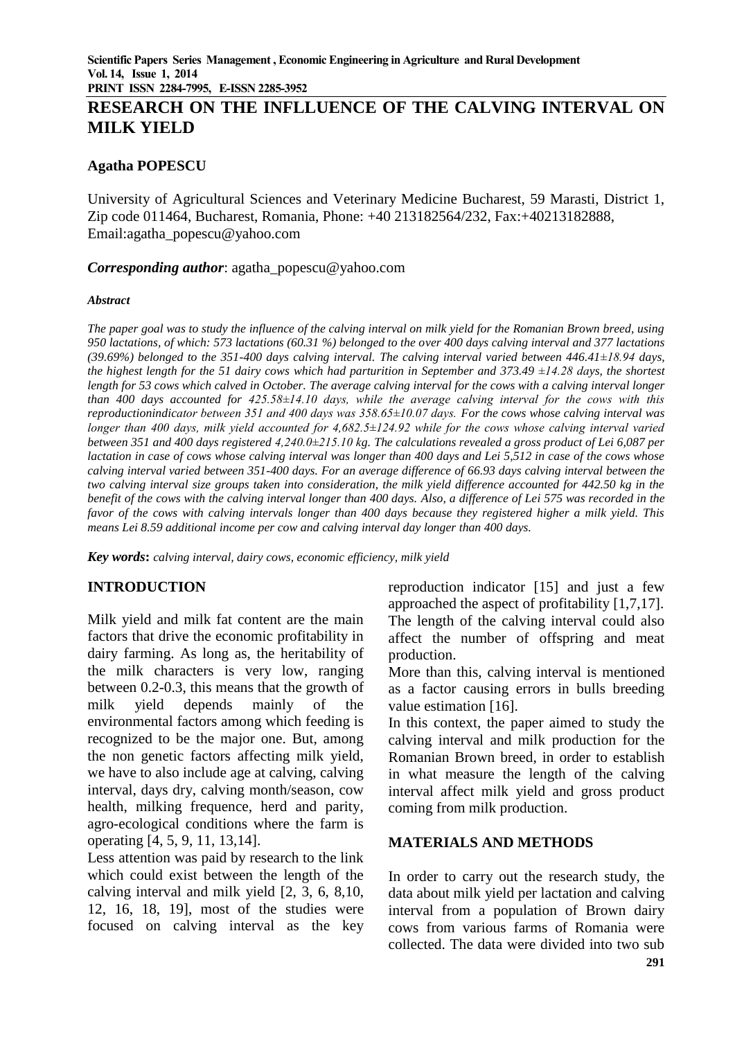# **RESEARCH ON THE INFLLUENCE OF THE CALVING INTERVAL ON MILK YIELD**

## **Agatha POPESCU**

University of Agricultural Sciences and Veterinary Medicine Bucharest, 59 Marasti, District 1, Zip code 011464, Bucharest, Romania, Phone: +40 213182564/232, Fax:+40213182888, Email:agatha\_popescu@yahoo.com

*Corresponding author*: agatha\_popescu@yahoo.com

#### *Abstract*

*The paper goal was to study the influence of the calving interval on milk yield for the Romanian Brown breed, using 950 lactations, of which: 573 lactations (60.31 %) belonged to the over 400 days calving interval and 377 lactations (39.69%) belonged to the 351-400 days calving interval. The calving interval varied between 446.41±18.94 days, the highest length for the 51 dairy cows which had parturition in September and 373.49 ±14.28 days, the shortest length for 53 cows which calved in October. The average calving interval for the cows with a calving interval longer than 400 days accounted for 425.58±14.10 days, while the average calving interval for the cows with this reproductionindicator between 351 and 400 days was 358.65±10.07 days. For the cows whose calving interval was longer than 400 days, milk yield accounted for 4,682.5±124.92 while for the cows whose calving interval varied between 351 and 400 days registered 4,240.0±215.10 kg. The calculations revealed a gross product of Lei 6,087 per lactation in case of cows whose calving interval was longer than 400 days and Lei 5,512 in case of the cows whose calving interval varied between 351-400 days. For an average difference of 66.93 days calving interval between the two calving interval size groups taken into consideration, the milk yield difference accounted for 442.50 kg in the benefit of the cows with the calving interval longer than 400 days. Also, a difference of Lei 575 was recorded in the favor of the cows with calving intervals longer than 400 days because they registered higher a milk yield. This means Lei 8.59 additional income per cow and calving interval day longer than 400 days.*

*Key words***:** *calving interval, dairy cows, economic efficiency, milk yield*

## **INTRODUCTION**

Milk yield and milk fat content are the main factors that drive the economic profitability in dairy farming. As long as, the heritability of the milk characters is very low, ranging between 0.2-0.3, this means that the growth of milk yield depends mainly of the environmental factors among which feeding is recognized to be the major one. But, among the non genetic factors affecting milk yield, we have to also include age at calving, calving interval, days dry, calving month/season, cow health, milking frequence, herd and parity, agro-ecological conditions where the farm is operating [4, 5, 9, 11, 13,14].

Less attention was paid by research to the link which could exist between the length of the calving interval and milk yield [2, 3, 6, 8,10, 12, 16, 18, 19], most of the studies were focused on calving interval as the key

reproduction indicator [15] and just a few approached the aspect of profitability [1,7,17]. The length of the calving interval could also affect the number of offspring and meat production.

More than this, calving interval is mentioned as a factor causing errors in bulls breeding value estimation [16].

In this context, the paper aimed to study the calving interval and milk production for the Romanian Brown breed, in order to establish in what measure the length of the calving interval affect milk yield and gross product coming from milk production.

#### **MATERIALS AND METHODS**

In order to carry out the research study, the data about milk yield per lactation and calving interval from a population of Brown dairy cows from various farms of Romania were collected. The data were divided into two sub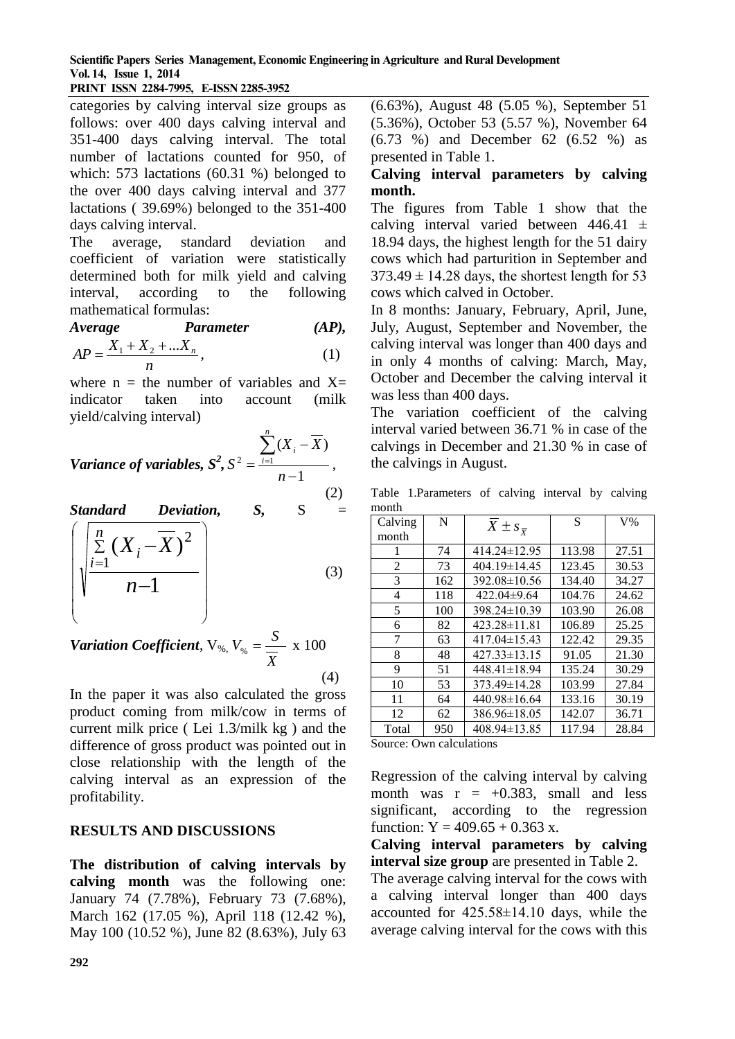## **Scientific Papers Series Management, Economic Engineering in Agriculture and Rural Development Vol. 14, Issue 1, 2014**

**PRINT ISSN 2284-7995, E-ISSN 2285-3952** 

categories by calving interval size groups as follows: over 400 days calving interval and 351-400 days calving interval. The total number of lactations counted for 950, of which: 573 lactations (60.31 %) belonged to the over 400 days calving interval and 377 lactations ( 39.69%) belonged to the 351-400 days calving interval.

The average, standard deviation and coefficient of variation were statistically determined both for milk yield and calving interval, according to the following mathematical formulas:

$$
Average \nParameter \n(AP),
$$
\n
$$
AP = \frac{X_1 + X_2 + ... X_n}{n}, \n(1)
$$

where  $n =$  the number of variables and  $X=$ indicator taken into account (milk yield/calving interval)

Variance of variables, 
$$
S^2
$$
,  $S^2 = \frac{\sum_{i=1}^{n} (X_i - \overline{X})}{n-1}$ ,

Standard Deviation, S, S = 
$$
\begin{pmatrix} \frac{n}{\sum_{i=1}^{n} (X_i - \overline{X})^2} \\ n-1 \end{pmatrix}
$$
 (3)

*Variation Coefficient*, V%, *X*  $V_{\%} = \frac{S}{\frac{S}{S}} \times 100$ (4)

In the paper it was also calculated the gross product coming from milk/cow in terms of current milk price ( Lei 1.3/milk kg ) and the difference of gross product was pointed out in close relationship with the length of the calving interval as an expression of the profitability.

## **RESULTS AND DISCUSSIONS**

**The distribution of calving intervals by calving month** was the following one: January 74 (7.78%), February 73 (7.68%), March 162 (17.05 %), April 118 (12.42 %), May 100 (10.52 %), June 82 (8.63%), July 63

(6.63%), August 48 (5.05 %), September 51 (5.36%), October 53 (5.57 %), November 64 (6.73 %) and December 62 (6.52 %) as presented in Table 1.

## **Calving interval parameters by calving month.**

The figures from Table 1 show that the calving interval varied between  $446.41 \pm$ 18.94 days, the highest length for the 51 dairy cows which had parturition in September and  $373.49 \pm 14.28$  days, the shortest length for 53 cows which calved in October.

In 8 months: January, February, April, June, July, August, September and November, the calving interval was longer than 400 days and in only 4 months of calving: March, May, October and December the calving interval it was less than 400 days.

The variation coefficient of the calving interval varied between 36.71 % in case of the calvings in December and 21.30 % in case of the calvings in August.

Table 1.Parameters of calving interval by calving month

| Calving<br>month | N   | $X \pm s_{\overline{X}}$ | S      | $V\%$ |
|------------------|-----|--------------------------|--------|-------|
|                  | 74  | 414.24±12.95             | 113.98 | 27.51 |
| 2                | 73  | $404.19 \pm 14.45$       | 123.45 | 30.53 |
| 3                | 162 | 392.08±10.56             | 134.40 | 34.27 |
| 4                | 118 | $422.04\pm9.64$          | 104.76 | 24.62 |
| 5                | 100 | 398.24±10.39             | 103.90 | 26.08 |
| 6                | 82  | $423.28 \pm 11.81$       | 106.89 | 25.25 |
| 7                | 63  | $417.04 \pm 15.43$       | 122.42 | 29.35 |
| 8                | 48  | $427.33 \pm 13.15$       | 91.05  | 21.30 |
| 9                | 51  | $448.41 \pm 18.94$       | 135.24 | 30.29 |
| 10               | 53  | $373.49 \pm 14.28$       | 103.99 | 27.84 |
| 11               | 64  | 440.98±16.64             | 133.16 | 30.19 |
| 12               | 62  | $386.96 \pm 18.05$       | 142.07 | 36.71 |
| Total            | 950 | $408.94 \pm 13.85$       | 117.94 | 28.84 |

Source: Own calculations

Regression of the calving interval by calving month was  $r = +0.383$ , small and less significant, according to the regression function:  $Y = 409.65 + 0.363$  x.

**Calving interval parameters by calving interval size group** are presented in Table 2. The average calving interval for the cows with a calving interval longer than 400 days accounted for 425.58±14.10 days, while the average calving interval for the cows with this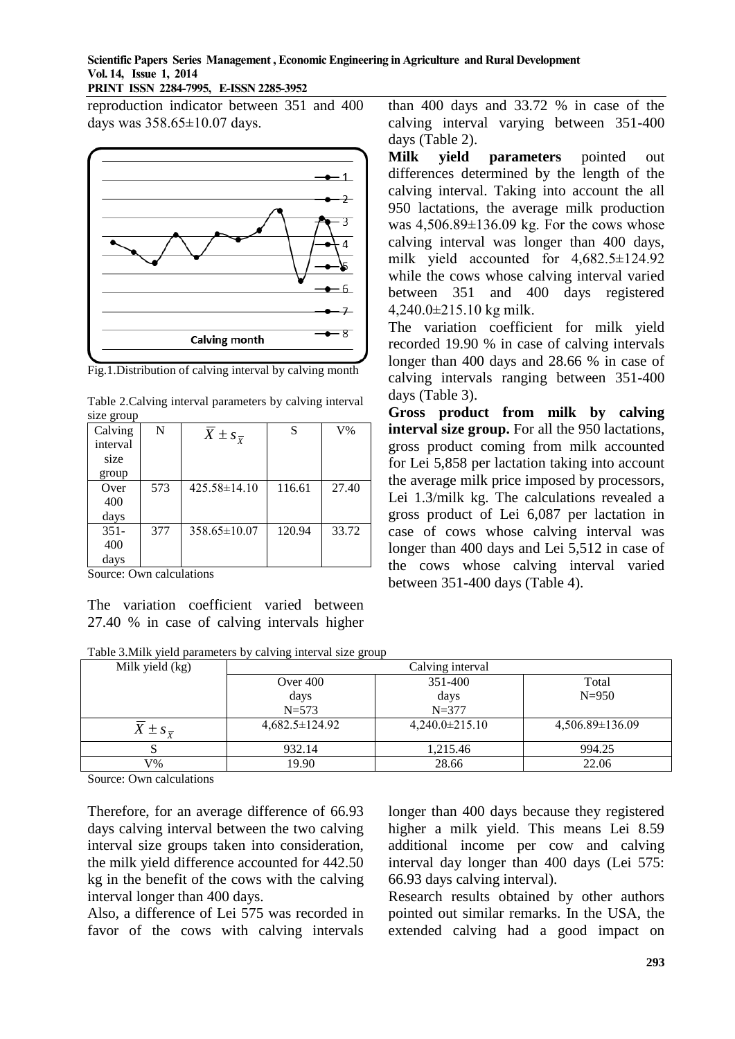### **Scientific Papers Series Management , Economic Engineering in Agriculture and Rural Development Vol. 14, Issue 1, 2014**

#### **PRINT ISSN 2284-7995, E-ISSN 2285-3952**

reproduction indicator between 351 and 400 days was 358.65±10.07 days.





| $5126$ Arvap |     |                          |        |            |
|--------------|-----|--------------------------|--------|------------|
| Calving      | N   | $X \pm s_{\overline{X}}$ | S      | $\nabla\%$ |
| interval     |     |                          |        |            |
| size         |     |                          |        |            |
| group        |     |                          |        |            |
| Over         | 573 | $425.58\pm14.10$         | 116.61 | 27.40      |
| 400          |     |                          |        |            |
| days         |     |                          |        |            |
| $351 -$      | 377 | $358.65 \pm 10.07$       | 120.94 | 33.72      |
| 400          |     |                          |        |            |
| days         |     |                          |        |            |

| Table 2. Calving interval parameters by calving interval |  |  |
|----------------------------------------------------------|--|--|
| size group                                               |  |  |

Source: Own calculations

The variation coefficient varied between 27.40 % in case of calving intervals higher

| Table 3. Milk yield parameters by calving interval size group |  |  |  |  |
|---------------------------------------------------------------|--|--|--|--|

than 400 days and 33.72 % in case of the calving interval varying between 351-400 days (Table 2).

**Milk yield parameters** pointed out differences determined by the length of the calving interval. Taking into account the all 950 lactations, the average milk production was  $4.506.89 \pm 136.09$  kg. For the cows whose calving interval was longer than 400 days, milk yield accounted for 4,682.5±124.92 while the cows whose calving interval varied between 351 and 400 days registered 4,240.0±215.10 kg milk.

The variation coefficient for milk yield recorded 19.90 % in case of calving intervals longer than 400 days and 28.66 % in case of calving intervals ranging between 351-400 days (Table 3).

**Gross product from milk by calving interval size group.** For all the 950 lactations, gross product coming from milk accounted for Lei 5,858 per lactation taking into account the average milk price imposed by processors, Lei 1.3/milk kg. The calculations revealed a gross product of Lei 6,087 per lactation in case of cows whose calving interval was longer than 400 days and Lei 5,512 in case of the cows whose calving interval varied between 351-400 days (Table 4).

| Milk yield (kg)          | Calving interval     |                    |                 |  |  |  |
|--------------------------|----------------------|--------------------|-----------------|--|--|--|
|                          | Over $400$           | Total              |                 |  |  |  |
|                          | days                 | days               | $N = 950$       |  |  |  |
|                          | $N = 573$            | $N = 377$          |                 |  |  |  |
| $X \pm s_{\overline{v}}$ | $4,682.5 \pm 124.92$ | $4,240.0\pm215.10$ | 4,506.89±136.09 |  |  |  |
|                          | 932.14               | 1,215.46           | 994.25          |  |  |  |
| V%                       | 19.90                | 28.66              | 22.06           |  |  |  |

Source: Own calculations

Therefore, for an average difference of 66.93 days calving interval between the two calving interval size groups taken into consideration, the milk yield difference accounted for 442.50 kg in the benefit of the cows with the calving interval longer than 400 days.

Also, a difference of Lei 575 was recorded in favor of the cows with calving intervals

longer than 400 days because they registered higher a milk yield. This means Lei 8.59 additional income per cow and calving interval day longer than 400 days (Lei 575: 66.93 days calving interval).

Research results obtained by other authors pointed out similar remarks. In the USA, the extended calving had a good impact on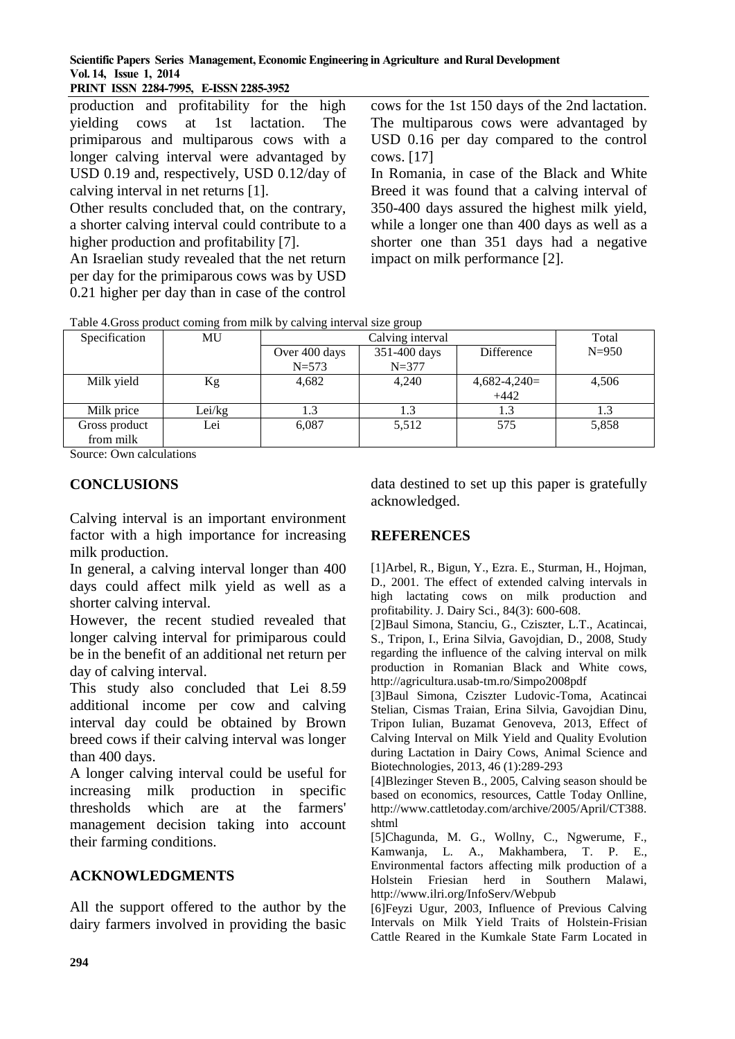**Scientific Papers Series Management, Economic Engineering in Agriculture and Rural Development Vol. 14, Issue 1, 2014**

**PRINT ISSN 2284-7995, E-ISSN 2285-3952** 

production and profitability for the high yielding cows at 1st lactation. The primiparous and multiparous cows with a longer calving interval were advantaged by USD 0.19 and, respectively, USD 0.12/day of calving interval in net returns [1].

Other results concluded that, on the contrary, a shorter calving interval could contribute to a higher production and profitability [7].

An Israelian study revealed that the net return per day for the primiparous cows was by USD 0.21 higher per day than in case of the control cows for the 1st 150 days of the 2nd lactation. The multiparous cows were advantaged by USD 0.16 per day compared to the control cows. [17]

In Romania, in case of the Black and White Breed it was found that a calving interval of 350-400 days assured the highest milk yield, while a longer one than 400 days as well as a shorter one than 351 days had a negative impact on milk performance [2].

Table 4.Gross product coming from milk by calving interval size group

| Specification | MU     |               | Total        |                |           |
|---------------|--------|---------------|--------------|----------------|-----------|
|               |        | Over 400 days | 351-400 days | Difference     | $N = 950$ |
|               |        | $N = 573$     | $N = 377$    |                |           |
| Milk yield    | Kg     | 4,682         | 4,240        | $4,682-4,240=$ | 4,506     |
|               |        |               |              | $+442$         |           |
| Milk price    | Lei/kg |               | 1.3          | 1.3            | 1.3       |
| Gross product | Lei    | 6,087         | 5,512        | 575            | 5,858     |
| from milk     |        |               |              |                |           |

Source: Own calculations

# **CONCLUSIONS**

Calving interval is an important environment factor with a high importance for increasing milk production.

In general, a calving interval longer than 400 days could affect milk yield as well as a shorter calving interval.

However, the recent studied revealed that longer calving interval for primiparous could be in the benefit of an additional net return per day of calving interval.

This study also concluded that Lei 8.59 additional income per cow and calving interval day could be obtained by Brown breed cows if their calving interval was longer than 400 days.

A longer calving interval could be useful for increasing milk production in specific thresholds which are at the farmers' management decision taking into account their farming conditions.

#### **ACKNOWLEDGMENTS**

All the support offered to the author by the dairy farmers involved in providing the basic data destined to set up this paper is gratefully acknowledged.

## **REFERENCES**

[1]Arbel, R., Bigun, Y., Ezra. E., Sturman, H., Hojman, D., 2001. The effect of extended calving intervals in high lactating cows on milk production and profitability. J. Dairy Sci., 84(3): 600-608.

[2]Baul Simona, Stanciu, G., Cziszter, L.T., Acatincai, S., Tripon, I., Erina Silvia, Gavojdian, D., 2008, Study regarding the influence of the calving interval on milk production in Romanian Black and White cows, http://agricultura.usab-tm.ro/Simpo2008pdf

[3]Baul Simona, Cziszter Ludovic-Toma, Acatincai Stelian, Cismas Traian, Erina Silvia, Gavojdian Dinu, Tripon Iulian, Buzamat Genoveva, 2013, Effect of Calving Interval on Milk Yield and Quality Evolution during Lactation in Dairy Cows, Animal Science and Biotechnologies, 2013, 46 (1):289-293

[4]Blezinger Steven B., 2005, Calving season should be based on economics, resources, Cattle Today Onlline, http://www.cattletoday.com/archive/2005/April/CT388. shtml

[5]Chagunda, M. G., Wollny, C., Ngwerume, F., Kamwanja, L. A., Makhambera, T. P. E., Environmental factors affecting milk production of a Holstein Friesian herd in Southern Malawi, http://www.ilri.org/InfoServ/Webpub

[6]Feyzi Ugur, 2003, Influence of Previous Calving Intervals on Milk Yield Traits of Holstein-Frisian Cattle Reared in the Kumkale State Farm Located in